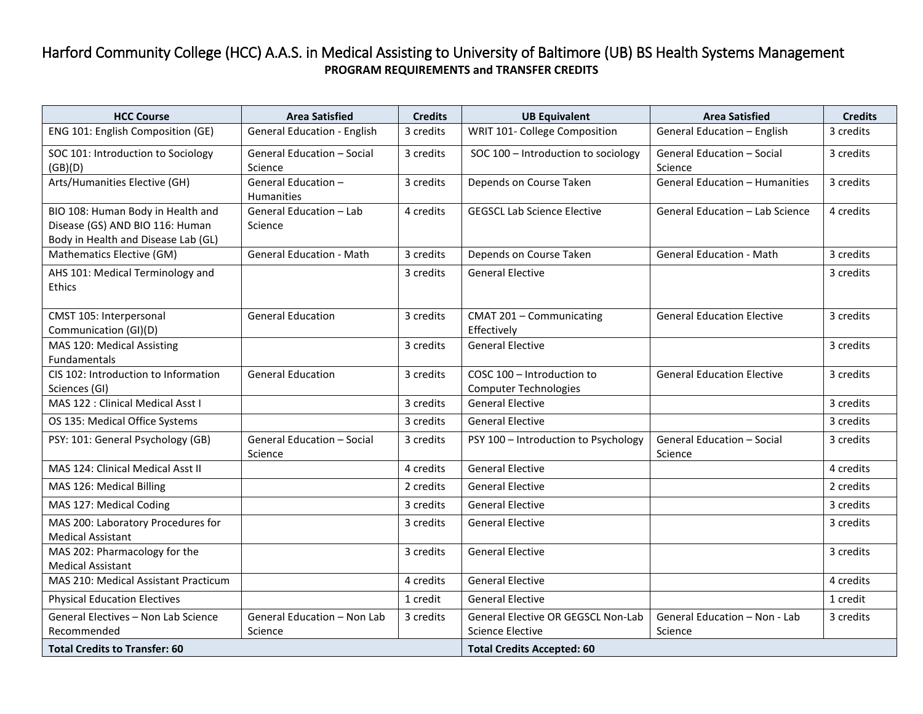## Harford Community College (HCC) A.A.S. in Medical Assisting to University of Baltimore (UB) BS Health Systems Management **PROGRAM REQUIREMENTS and TRANSFER CREDITS**

| <b>HCC Course</b>                                                                                           | <b>Area Satisfied</b>                  | <b>Credits</b> | <b>UB Equivalent</b>                                          | <b>Area Satisfied</b>                        | <b>Credits</b> |
|-------------------------------------------------------------------------------------------------------------|----------------------------------------|----------------|---------------------------------------------------------------|----------------------------------------------|----------------|
| ENG 101: English Composition (GE)                                                                           | <b>General Education - English</b>     | 3 credits      | WRIT 101- College Composition                                 | General Education - English                  | 3 credits      |
| SOC 101: Introduction to Sociology<br>(GB)(D)                                                               | General Education - Social<br>Science  | 3 credits      | SOC 100 - Introduction to sociology                           | General Education - Social<br>Science        | 3 credits      |
| Arts/Humanities Elective (GH)                                                                               | General Education -<br>Humanities      | 3 credits      | Depends on Course Taken                                       | <b>General Education - Humanities</b>        | 3 credits      |
| BIO 108: Human Body in Health and<br>Disease (GS) AND BIO 116: Human<br>Body in Health and Disease Lab (GL) | General Education - Lab<br>Science     | 4 credits      | <b>GEGSCL Lab Science Elective</b>                            | General Education - Lab Science              | 4 credits      |
| Mathematics Elective (GM)                                                                                   | <b>General Education - Math</b>        | 3 credits      | Depends on Course Taken                                       | <b>General Education - Math</b>              | 3 credits      |
| AHS 101: Medical Terminology and<br>Ethics                                                                  |                                        | 3 credits      | <b>General Elective</b>                                       |                                              | 3 credits      |
| CMST 105: Interpersonal<br>Communication (GI)(D)                                                            | <b>General Education</b>               | 3 credits      | CMAT 201 - Communicating<br>Effectively                       | <b>General Education Elective</b>            | 3 credits      |
| MAS 120: Medical Assisting<br><b>Fundamentals</b>                                                           |                                        | 3 credits      | <b>General Elective</b>                                       |                                              | 3 credits      |
| CIS 102: Introduction to Information<br>Sciences (GI)                                                       | <b>General Education</b>               | 3 credits      | COSC 100 - Introduction to<br><b>Computer Technologies</b>    | <b>General Education Elective</b>            | 3 credits      |
| MAS 122 : Clinical Medical Asst I                                                                           |                                        | 3 credits      | <b>General Elective</b>                                       |                                              | 3 credits      |
| OS 135: Medical Office Systems                                                                              |                                        | 3 credits      | <b>General Elective</b>                                       |                                              | 3 credits      |
| PSY: 101: General Psychology (GB)                                                                           | General Education - Social<br>Science  | 3 credits      | PSY 100 - Introduction to Psychology                          | <b>General Education - Social</b><br>Science | 3 credits      |
| MAS 124: Clinical Medical Asst II                                                                           |                                        | 4 credits      | <b>General Elective</b>                                       |                                              | 4 credits      |
| MAS 126: Medical Billing                                                                                    |                                        | 2 credits      | <b>General Elective</b>                                       |                                              | 2 credits      |
| MAS 127: Medical Coding                                                                                     |                                        | 3 credits      | <b>General Elective</b>                                       |                                              | 3 credits      |
| MAS 200: Laboratory Procedures for<br><b>Medical Assistant</b>                                              |                                        | 3 credits      | <b>General Elective</b>                                       |                                              | 3 credits      |
| MAS 202: Pharmacology for the<br><b>Medical Assistant</b>                                                   |                                        | 3 credits      | <b>General Elective</b>                                       |                                              | 3 credits      |
| MAS 210: Medical Assistant Practicum                                                                        |                                        | 4 credits      | <b>General Elective</b>                                       |                                              | 4 credits      |
| <b>Physical Education Electives</b>                                                                         |                                        | 1 credit       | <b>General Elective</b>                                       |                                              | 1 credit       |
| General Electives - Non Lab Science<br>Recommended                                                          | General Education - Non Lab<br>Science | 3 credits      | General Elective OR GEGSCL Non-Lab<br><b>Science Elective</b> | General Education - Non - Lab<br>Science     | 3 credits      |
| <b>Total Credits to Transfer: 60</b>                                                                        |                                        |                | <b>Total Credits Accepted: 60</b>                             |                                              |                |